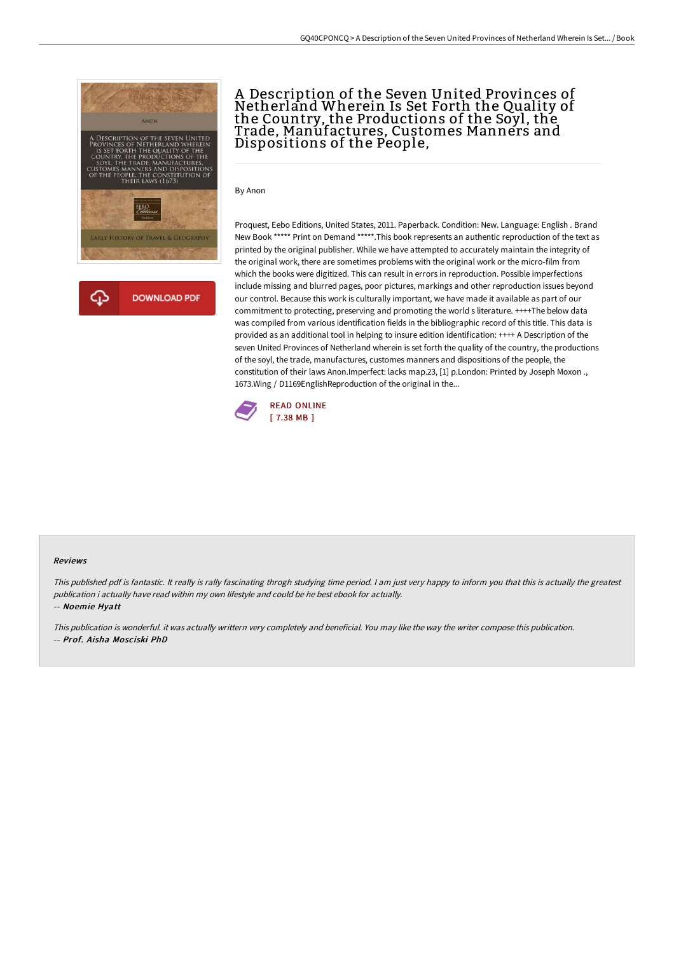

# A Description of the Seven United Provinces of Netherland Wherein Is Set Forth the Quality of the Country, the Productions of the Soyl, the Trade, Manufactures, Customes Manners and Dispositions of the People,

By Anon

Proquest, Eebo Editions, United States, 2011. Paperback. Condition: New. Language: English . Brand New Book \*\*\*\*\* Print on Demand \*\*\*\*\*.This book represents an authentic reproduction of the text as printed by the original publisher. While we have attempted to accurately maintain the integrity of the original work, there are sometimes problems with the original work or the micro-film from which the books were digitized. This can result in errors in reproduction. Possible imperfections include missing and blurred pages, poor pictures, markings and other reproduction issues beyond our control. Because this work is culturally important, we have made it available as part of our commitment to protecting, preserving and promoting the world s literature. ++++The below data was compiled from various identification fields in the bibliographic record of this title. This data is provided as an additional tool in helping to insure edition identification: ++++ A Description of the seven United Provinces of Netherland wherein is set forth the quality of the country, the productions of the soyl, the trade, manufactures, customes manners and dispositions of the people, the constitution of their laws Anon.Imperfect: lacks map.23, [1] p.London: Printed by Joseph Moxon ., 1673.Wing / D1169EnglishReproduction of the original in the...



#### Reviews

This published pdf is fantastic. It really is rally fascinating throgh studying time period. <sup>I</sup> am just very happy to inform you that this is actually the greatest publication i actually have read within my own lifestyle and could be he best ebook for actually.

-- Noemie Hyatt

This publication is wonderful. it was actually writtern very completely and beneficial. You may like the way the writer compose this publication. -- Prof. Aisha Mosciski PhD